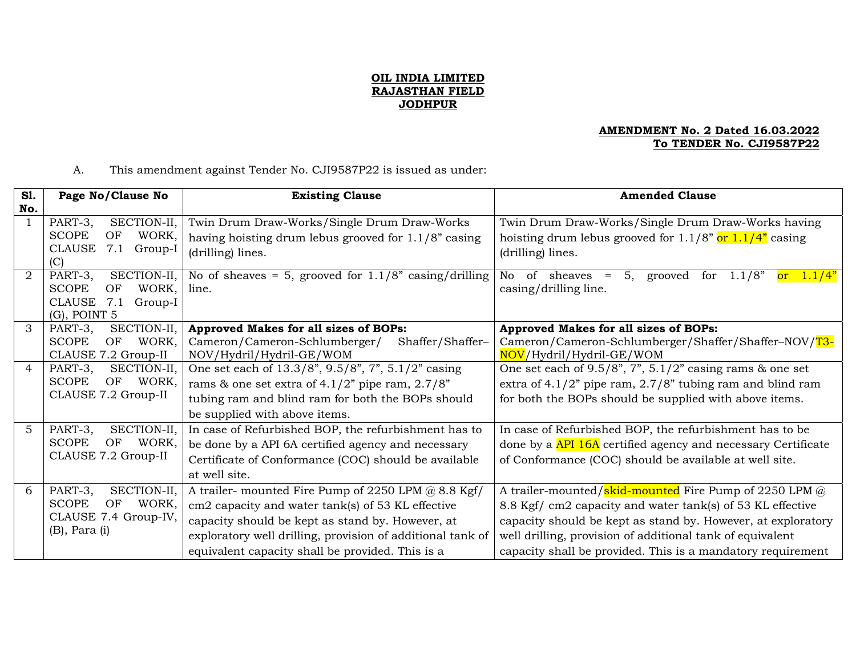## **OIL INDIA LIMITED RAJASTHAN FIELD JODHPUR**

## **AMENDMENT No. 2 Dated 16.03.2022 To TENDER No. CJI9587P22**

## A. This amendment against Tender No. CJI9587P22 is issued as under:

| <b>S1.</b> | Page No/Clause No           | <b>Existing Clause</b>                                     | <b>Amended Clause</b>                                                |
|------------|-----------------------------|------------------------------------------------------------|----------------------------------------------------------------------|
| No.        |                             |                                                            |                                                                      |
|            | PART-3,<br>SECTION-II,      | Twin Drum Draw-Works/Single Drum Draw-Works                | Twin Drum Draw-Works/Single Drum Draw-Works having                   |
|            | <b>SCOPE</b><br>OF<br>WORK, | having hoisting drum lebus grooved for 1.1/8" casing       | hoisting drum lebus grooved for 1.1/8" <mark>or 1.1/4"</mark> casing |
|            | CLAUSE 7.1 Group-I<br>(C)   | (drilling) lines.                                          | (drilling) lines.                                                    |
|            | PART-3,<br>SECTION-II,      | No of sheaves = 5, grooved for $1.1/8$ " casing/drilling   | No<br>5, grooved for $1.1/8"$<br>of sheaves $=$<br>or $1.1/4"$       |
|            | WORK,<br><b>SCOPE</b><br>OF | line.                                                      | casing/drilling line.                                                |
|            | CLAUSE<br>7.1<br>Group-I    |                                                            |                                                                      |
|            | $(G)$ , POINT 5             |                                                            |                                                                      |
| 3          | SECTION-II,<br>PART-3,      | Approved Makes for all sizes of BOPs:                      | Approved Makes for all sizes of BOPs:                                |
|            | WORK.<br><b>SCOPE</b><br>OF | Cameron/Cameron-Schlumberger/<br>Shaffer/Shaffer-          | Cameron/Cameron-Schlumberger/Shaffer/Shaffer-NOV/T3-                 |
|            | CLAUSE 7.2 Group-II         | NOV/Hydril/Hydril-GE/WOM                                   | NOV/Hydril/Hydril-GE/WOM                                             |
| 4          | SECTION-II,<br>PART-3,      | One set each of 13.3/8", 9.5/8", 7", 5.1/2" casing         | One set each of $9.5/8$ ", $7$ ", $5.1/2$ " casing rams & one set    |
|            | <b>SCOPE</b><br>OF<br>WORK, | rams & one set extra of $4.1/2$ " pipe ram, $2.7/8$ "      | extra of $4.1/2$ " pipe ram, $2.7/8$ " tubing ram and blind ram      |
|            | CLAUSE 7.2 Group-II         | tubing ram and blind ram for both the BOPs should          | for both the BOPs should be supplied with above items.               |
|            |                             | be supplied with above items.                              |                                                                      |
| 5          | SECTION-II,<br>PART-3,      | In case of Refurbished BOP, the refurbishment has to       | In case of Refurbished BOP, the refurbishment has to be              |
|            | <b>SCOPE</b><br>OF WORK,    | be done by a API 6A certified agency and necessary         | done by a API 16A certified agency and necessary Certificate         |
|            | CLAUSE 7.2 Group-II         | Certificate of Conformance (COC) should be available       | of Conformance (COC) should be available at well site.               |
|            |                             | at well site.                                              |                                                                      |
| 6          | PART-3,<br>SECTION-II,      | A trailer- mounted Fire Pump of 2250 LPM @ 8.8 Kgf/        | A trailer-mounted/skid-mounted Fire Pump of 2250 LPM @               |
|            | WORK,<br><b>SCOPE</b><br>OF | cm2 capacity and water tank(s) of 53 KL effective          | 8.8 Kgf/ cm2 capacity and water tank(s) of 53 KL effective           |
|            | CLAUSE 7.4 Group-IV,        | capacity should be kept as stand by. However, at           | capacity should be kept as stand by. However, at exploratory         |
|            | $(B)$ , Para $(i)$          | exploratory well drilling, provision of additional tank of | well drilling, provision of additional tank of equivalent            |
|            |                             | equivalent capacity shall be provided. This is a           | capacity shall be provided. This is a mandatory requirement          |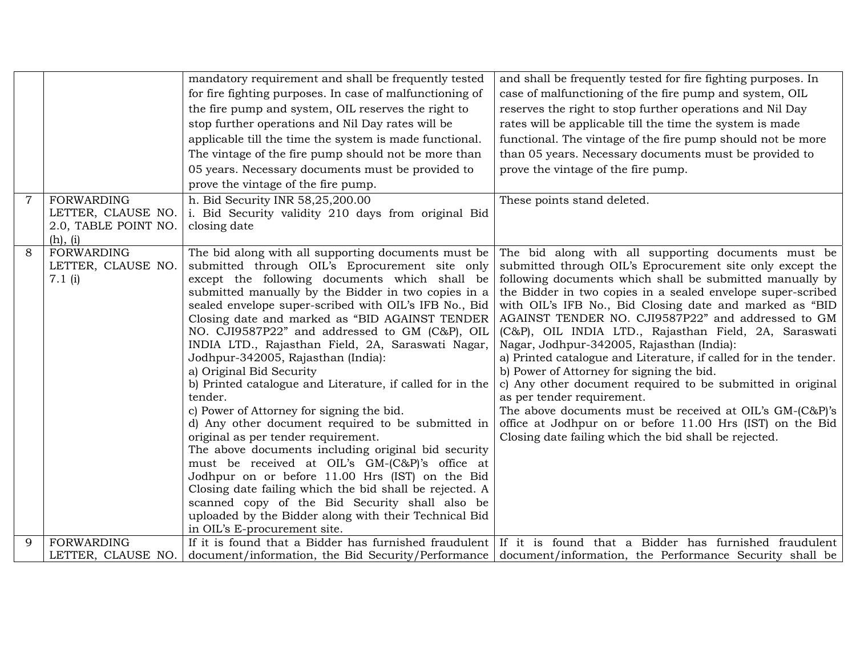|                |                                            | mandatory requirement and shall be frequently tested      | and shall be frequently tested for fire fighting purposes. In                                               |
|----------------|--------------------------------------------|-----------------------------------------------------------|-------------------------------------------------------------------------------------------------------------|
|                |                                            | for fire fighting purposes. In case of malfunctioning of  | case of malfunctioning of the fire pump and system, OIL                                                     |
|                |                                            | the fire pump and system, OIL reserves the right to       | reserves the right to stop further operations and Nil Day                                                   |
|                |                                            | stop further operations and Nil Day rates will be         | rates will be applicable till the time the system is made                                                   |
|                |                                            | applicable till the time the system is made functional.   | functional. The vintage of the fire pump should not be more                                                 |
|                |                                            | The vintage of the fire pump should not be more than      | than 05 years. Necessary documents must be provided to                                                      |
|                |                                            | 05 years. Necessary documents must be provided to         | prove the vintage of the fire pump.                                                                         |
|                |                                            | prove the vintage of the fire pump.                       |                                                                                                             |
| $\overline{7}$ | <b>FORWARDING</b>                          |                                                           |                                                                                                             |
|                |                                            | h. Bid Security INR 58,25,200.00                          | These points stand deleted.                                                                                 |
|                | LETTER, CLAUSE NO.<br>2.0, TABLE POINT NO. | i. Bid Security validity 210 days from original Bid       |                                                                                                             |
|                | (h), (i)                                   | closing date                                              |                                                                                                             |
| 8              | FORWARDING                                 | The bid along with all supporting documents must be       | The bid along with all supporting documents must be                                                         |
|                | LETTER, CLAUSE NO.                         | submitted through OIL's Eprocurement site only            | submitted through OIL's Eprocurement site only except the                                                   |
|                | 7.1(i)                                     | except the following documents which shall be             | following documents which shall be submitted manually by                                                    |
|                |                                            | submitted manually by the Bidder in two copies in a       | the Bidder in two copies in a sealed envelope super-scribed                                                 |
|                |                                            | sealed envelope super-scribed with OIL's IFB No., Bid     | with OIL's IFB No., Bid Closing date and marked as "BID                                                     |
|                |                                            | Closing date and marked as "BID AGAINST TENDER            | AGAINST TENDER NO. CJI9587P22" and addressed to GM                                                          |
|                |                                            | NO. CJI9587P22" and addressed to GM (C&P), OIL            | (C&P), OIL INDIA LTD., Rajasthan Field, 2A, Saraswati                                                       |
|                |                                            | INDIA LTD., Rajasthan Field, 2A, Saraswati Nagar,         | Nagar, Jodhpur-342005, Rajasthan (India):                                                                   |
|                |                                            | Jodhpur-342005, Rajasthan (India):                        | a) Printed catalogue and Literature, if called for in the tender.                                           |
|                |                                            | a) Original Bid Security                                  | b) Power of Attorney for signing the bid.                                                                   |
|                |                                            | b) Printed catalogue and Literature, if called for in the | c) Any other document required to be submitted in original                                                  |
|                |                                            | tender.                                                   | as per tender requirement.                                                                                  |
|                |                                            | c) Power of Attorney for signing the bid.                 | The above documents must be received at OIL's GM-(C&P)'s                                                    |
|                |                                            | d) Any other document required to be submitted in         | office at Jodhpur on or before 11.00 Hrs (IST) on the Bid                                                   |
|                |                                            | original as per tender requirement.                       | Closing date failing which the bid shall be rejected.                                                       |
|                |                                            | The above documents including original bid security       |                                                                                                             |
|                |                                            | must be received at OIL's GM-(C&P)'s office at            |                                                                                                             |
|                |                                            | Jodhpur on or before 11.00 Hrs (IST) on the Bid           |                                                                                                             |
|                |                                            | Closing date failing which the bid shall be rejected. A   |                                                                                                             |
|                |                                            | scanned copy of the Bid Security shall also be            |                                                                                                             |
|                |                                            | uploaded by the Bidder along with their Technical Bid     |                                                                                                             |
|                |                                            | in OIL's E-procurement site.                              |                                                                                                             |
| 9              | <b>FORWARDING</b>                          |                                                           | If it is found that a Bidder has furnished fraudulent If it is found that a Bidder has furnished fraudulent |
|                | LETTER, CLAUSE NO.                         |                                                           | document/information, the Bid Security/Performance document/information, the Performance Security shall be  |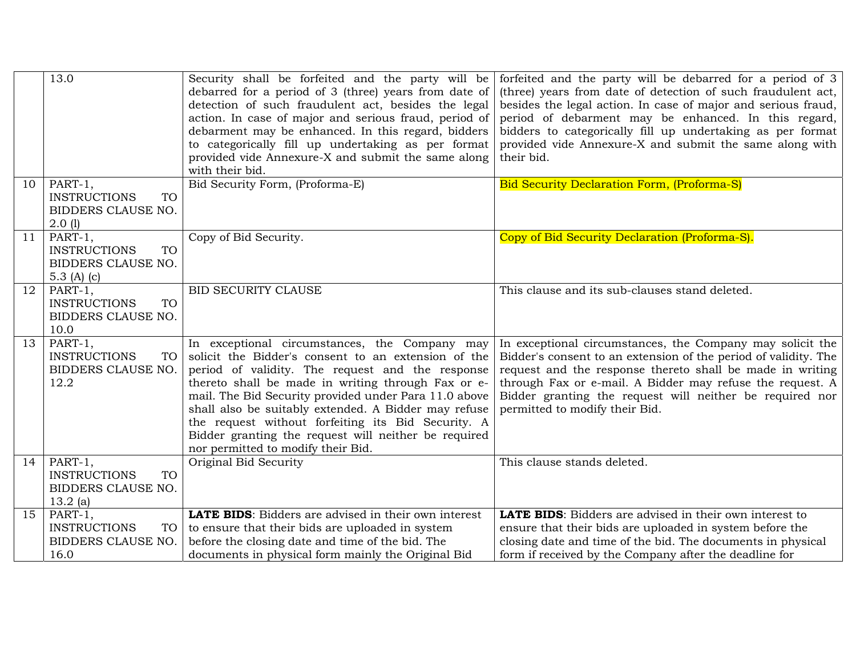|    | 13.0                                                                             | Security shall be forfeited and the party will be<br>debarred for a period of 3 (three) years from date of<br>detection of such fraudulent act, besides the legal<br>action. In case of major and serious fraud, period of<br>debarment may be enhanced. In this regard, bidders<br>to categorically fill up undertaking as per format<br>provided vide Annexure-X and submit the same along<br>with their bid.                                                                     | forfeited and the party will be debarred for a period of $3$<br>(three) years from date of detection of such fraudulent act,<br>besides the legal action. In case of major and serious fraud, $\vert$<br>period of debarment may be enhanced. In this regard,<br>bidders to categorically fill up undertaking as per format<br>provided vide Annexure-X and submit the same along with<br>their bid. |
|----|----------------------------------------------------------------------------------|-------------------------------------------------------------------------------------------------------------------------------------------------------------------------------------------------------------------------------------------------------------------------------------------------------------------------------------------------------------------------------------------------------------------------------------------------------------------------------------|------------------------------------------------------------------------------------------------------------------------------------------------------------------------------------------------------------------------------------------------------------------------------------------------------------------------------------------------------------------------------------------------------|
| 10 | PART-1,<br><b>INSTRUCTIONS</b><br><b>TO</b><br>BIDDERS CLAUSE NO.<br>2.0(1)      | Bid Security Form, (Proforma-E)                                                                                                                                                                                                                                                                                                                                                                                                                                                     | <b>Bid Security Declaration Form, (Proforma-S)</b>                                                                                                                                                                                                                                                                                                                                                   |
| 11 | PART-1,<br><b>INSTRUCTIONS</b><br><b>TO</b><br>BIDDERS CLAUSE NO.<br>5.3 (A) (c) | Copy of Bid Security.                                                                                                                                                                                                                                                                                                                                                                                                                                                               | Copy of Bid Security Declaration (Proforma-S).                                                                                                                                                                                                                                                                                                                                                       |
| 12 | PART-1,<br><b>INSTRUCTIONS</b><br><b>TO</b><br>BIDDERS CLAUSE NO.<br>10.0        | BID SECURITY CLAUSE                                                                                                                                                                                                                                                                                                                                                                                                                                                                 | This clause and its sub-clauses stand deleted.                                                                                                                                                                                                                                                                                                                                                       |
| 13 | PART-1,<br><b>INSTRUCTIONS</b><br>TO<br>BIDDERS CLAUSE NO.<br>12.2               | In exceptional circumstances, the Company may<br>solicit the Bidder's consent to an extension of the<br>period of validity. The request and the response<br>thereto shall be made in writing through Fax or e-<br>mail. The Bid Security provided under Para 11.0 above<br>shall also be suitably extended. A Bidder may refuse<br>the request without forfeiting its Bid Security. A<br>Bidder granting the request will neither be required<br>nor permitted to modify their Bid. | In exceptional circumstances, the Company may solicit the<br>Bidder's consent to an extension of the period of validity. The<br>request and the response thereto shall be made in writing<br>through Fax or e-mail. A Bidder may refuse the request. A<br>Bidder granting the request will neither be required nor<br>permitted to modify their Bid.                                                 |
| 14 | PART-1,<br><b>INSTRUCTIONS</b><br>TO<br>BIDDERS CLAUSE NO.<br>$13.2$ (a)         | Original Bid Security                                                                                                                                                                                                                                                                                                                                                                                                                                                               | This clause stands deleted.                                                                                                                                                                                                                                                                                                                                                                          |
| 15 | PART-1,<br><b>INSTRUCTIONS</b><br>TO<br>BIDDERS CLAUSE NO.<br>16.0               | <b>LATE BIDS:</b> Bidders are advised in their own interest<br>to ensure that their bids are uploaded in system<br>before the closing date and time of the bid. The<br>documents in physical form mainly the Original Bid                                                                                                                                                                                                                                                           | <b>LATE BIDS:</b> Bidders are advised in their own interest to<br>ensure that their bids are uploaded in system before the<br>closing date and time of the bid. The documents in physical<br>form if received by the Company after the deadline for                                                                                                                                                  |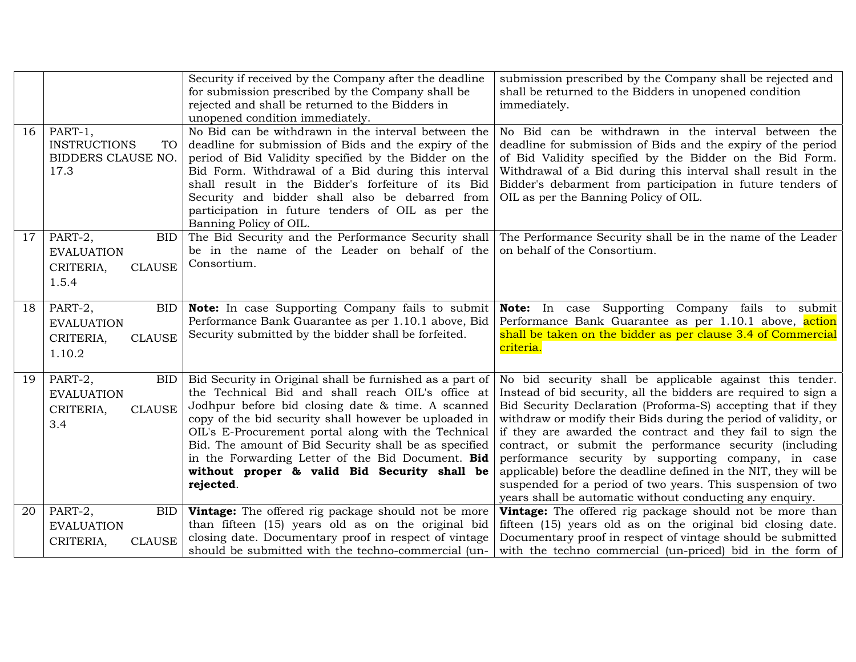|    |                                                                                    | Security if received by the Company after the deadline<br>for submission prescribed by the Company shall be<br>rejected and shall be returned to the Bidders in<br>unopened condition immediately.                                                                                                                                                                                                                                                            | submission prescribed by the Company shall be rejected and<br>shall be returned to the Bidders in unopened condition<br>immediately.                                                                                                                                                                                                                                                                                                                                                                                                                                                                                                          |
|----|------------------------------------------------------------------------------------|---------------------------------------------------------------------------------------------------------------------------------------------------------------------------------------------------------------------------------------------------------------------------------------------------------------------------------------------------------------------------------------------------------------------------------------------------------------|-----------------------------------------------------------------------------------------------------------------------------------------------------------------------------------------------------------------------------------------------------------------------------------------------------------------------------------------------------------------------------------------------------------------------------------------------------------------------------------------------------------------------------------------------------------------------------------------------------------------------------------------------|
| 16 | PART-1,<br><b>INSTRUCTIONS</b><br><b>TO</b><br>BIDDERS CLAUSE NO.<br>17.3          | No Bid can be withdrawn in the interval between the<br>deadline for submission of Bids and the expiry of the<br>period of Bid Validity specified by the Bidder on the<br>Bid Form. Withdrawal of a Bid during this interval<br>shall result in the Bidder's forfeiture of its Bid<br>Security and bidder shall also be debarred from<br>participation in future tenders of OIL as per the<br>Banning Policy of OIL.                                           | No Bid can be withdrawn in the interval between the<br>deadline for submission of Bids and the expiry of the period<br>of Bid Validity specified by the Bidder on the Bid Form.<br>Withdrawal of a Bid during this interval shall result in the<br>Bidder's debarment from participation in future tenders of<br>OIL as per the Banning Policy of OIL.                                                                                                                                                                                                                                                                                        |
| 17 | PART-2,<br><b>BID</b><br><b>EVALUATION</b><br><b>CLAUSE</b><br>CRITERIA,<br>1.5.4  | The Bid Security and the Performance Security shall<br>be in the name of the Leader on behalf of the<br>Consortium.                                                                                                                                                                                                                                                                                                                                           | The Performance Security shall be in the name of the Leader<br>on behalf of the Consortium.                                                                                                                                                                                                                                                                                                                                                                                                                                                                                                                                                   |
| 18 | PART-2,<br><b>BID</b><br><b>EVALUATION</b><br><b>CLAUSE</b><br>CRITERIA,<br>1.10.2 | Note: In case Supporting Company fails to submit<br>Performance Bank Guarantee as per 1.10.1 above, Bid<br>Security submitted by the bidder shall be forfeited.                                                                                                                                                                                                                                                                                               | Note: In case Supporting Company fails to submit<br>Performance Bank Guarantee as per 1.10.1 above, action<br>shall be taken on the bidder as per clause 3.4 of Commercial<br>criteria.                                                                                                                                                                                                                                                                                                                                                                                                                                                       |
| 19 | PART-2,<br><b>BID</b><br><b>EVALUATION</b><br><b>CLAUSE</b><br>CRITERIA,<br>3.4    | Bid Security in Original shall be furnished as a part of<br>the Technical Bid and shall reach OIL's office at<br>Jodhpur before bid closing date & time. A scanned<br>copy of the bid security shall however be uploaded in<br>OIL's E-Procurement portal along with the Technical<br>Bid. The amount of Bid Security shall be as specified<br>in the Forwarding Letter of the Bid Document. Bid<br>without proper & valid Bid Security shall be<br>rejected. | No bid security shall be applicable against this tender.<br>Instead of bid security, all the bidders are required to sign a<br>Bid Security Declaration (Proforma-S) accepting that if they<br>withdraw or modify their Bids during the period of validity, or<br>if they are awarded the contract and they fail to sign the<br>contract, or submit the performance security (including<br>performance security by supporting company, in case<br>applicable) before the deadline defined in the NIT, they will be<br>suspended for a period of two years. This suspension of two<br>years shall be automatic without conducting any enquiry. |
| 20 | PART-2,<br>BID.<br><b>EVALUATION</b><br>CRITERIA,<br><b>CLAUSE</b>                 | <b>Vintage:</b> The offered rig package should not be more<br>than fifteen (15) years old as on the original bid<br>closing date. Documentary proof in respect of vintage<br>should be submitted with the techno-commercial (un-                                                                                                                                                                                                                              | <b>Vintage:</b> The offered rig package should not be more than<br>fifteen (15) years old as on the original bid closing date.<br>Documentary proof in respect of vintage should be submitted<br>with the techno commercial (un-priced) bid in the form of                                                                                                                                                                                                                                                                                                                                                                                    |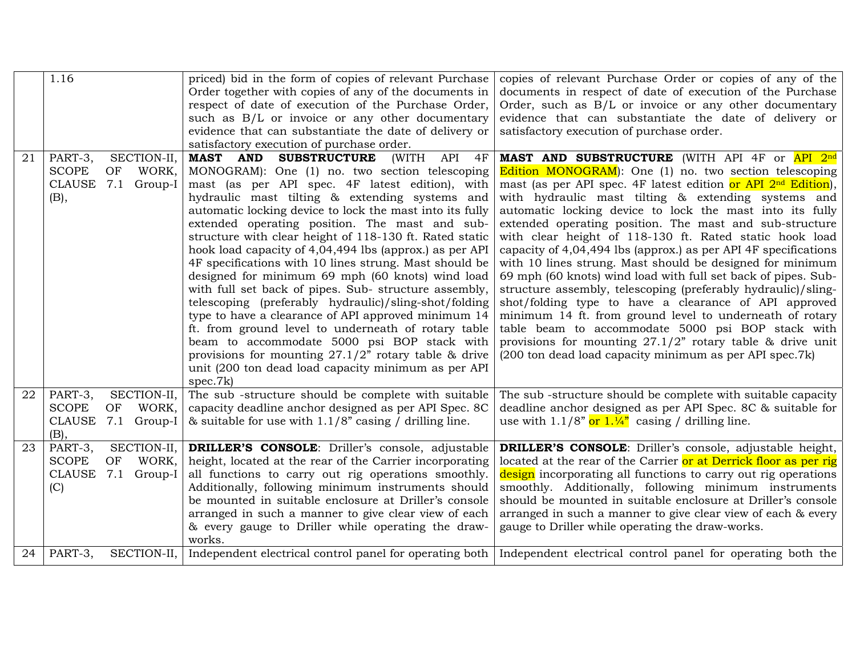|    | 1.16                        | priced) bid in the form of copies of relevant Purchase       | copies of relevant Purchase Order or copies of any of the                                                             |
|----|-----------------------------|--------------------------------------------------------------|-----------------------------------------------------------------------------------------------------------------------|
|    |                             | Order together with copies of any of the documents in        | documents in respect of date of execution of the Purchase                                                             |
|    |                             | respect of date of execution of the Purchase Order,          | Order, such as B/L or invoice or any other documentary                                                                |
|    |                             | such as B/L or invoice or any other documentary              | evidence that can substantiate the date of delivery or                                                                |
|    |                             | evidence that can substantiate the date of delivery or       | satisfactory execution of purchase order.                                                                             |
|    |                             | satisfactory execution of purchase order.                    |                                                                                                                       |
| 21 | PART-3,<br>SECTION-II,      | <b>MAST</b><br><b>SUBSTRUCTURE</b><br>API 4F<br>AND<br>(WITH | MAST AND SUBSTRUCTURE (WITH API 4F or API 2nd                                                                         |
|    | <b>SCOPE</b><br>OF<br>WORK, | MONOGRAM): One (1) no. two section telescoping               | <b>Edition MONOGRAM</b> : One (1) no. two section telescoping                                                         |
|    | CLAUSE 7.1 Group-I          | mast (as per API spec. 4F latest edition), with              | mast (as per API spec. 4F latest edition or API $2nd$ Edition),                                                       |
|    | (B),                        | hydraulic mast tilting & extending systems and               | with hydraulic mast tilting & extending systems and                                                                   |
|    |                             | automatic locking device to lock the mast into its fully     | automatic locking device to lock the mast into its fully                                                              |
|    |                             | extended operating position. The mast and sub-               | extended operating position. The mast and sub-structure                                                               |
|    |                             | structure with clear height of 118-130 ft. Rated static      | with clear height of 118-130 ft. Rated static hook load                                                               |
|    |                             | hook load capacity of 4,04,494 lbs (approx.) as per API      | capacity of 4,04,494 lbs (approx.) as per API 4F specifications                                                       |
|    |                             | 4F specifications with 10 lines strung. Mast should be       | with 10 lines strung. Mast should be designed for minimum                                                             |
|    |                             | designed for minimum 69 mph (60 knots) wind load             | 69 mph (60 knots) wind load with full set back of pipes. Sub-                                                         |
|    |                             | with full set back of pipes. Sub- structure assembly,        | structure assembly, telescoping (preferably hydraulic)/sling-                                                         |
|    |                             | telescoping (preferably hydraulic)/sling-shot/folding        | shot/folding type to have a clearance of API approved                                                                 |
|    |                             | type to have a clearance of API approved minimum 14          | minimum 14 ft. from ground level to underneath of rotary                                                              |
|    |                             | ft. from ground level to underneath of rotary table          | table beam to accommodate 5000 psi BOP stack with                                                                     |
|    |                             | beam to accommodate 5000 psi BOP stack with                  | provisions for mounting $27.1/2$ " rotary table & drive unit                                                          |
|    |                             | provisions for mounting $27.1/2$ " rotary table & drive      | (200 ton dead load capacity minimum as per API spec.7k)                                                               |
|    |                             | unit (200 ton dead load capacity minimum as per API          |                                                                                                                       |
|    |                             | spec.7k)                                                     |                                                                                                                       |
| 22 | PART-3,<br>SECTION-II,      | The sub-structure should be complete with suitable           | The sub-structure should be complete with suitable capacity                                                           |
|    | <b>SCOPE</b><br>WORK,<br>OF | capacity deadline anchor designed as per API Spec. 8C        | deadline anchor designed as per API Spec. 8C & suitable for                                                           |
|    | CLAUSE<br>7.1 Group-I       | & suitable for use with $1.1/8$ " casing / drilling line.    | use with $1.1/8$ " or $1.1/4$ " casing / drilling line.                                                               |
|    | (B),                        |                                                              |                                                                                                                       |
| 23 | SECTION-II,<br>PART-3,      | DRILLER'S CONSOLE: Driller's console, adjustable             | DRILLER'S CONSOLE: Driller's console, adjustable height,                                                              |
|    | <b>SCOPE</b><br>WORK,<br>OF | height, located at the rear of the Carrier incorporating     | located at the rear of the Carrier or at Derrick floor as per rig                                                     |
|    | CLAUSE 7.1 Group-I          | all functions to carry out rig operations smoothly.          | design incorporating all functions to carry out rig operations                                                        |
|    | (C)                         | Additionally, following minimum instruments should           | smoothly. Additionally, following minimum instruments                                                                 |
|    |                             | be mounted in suitable enclosure at Driller's console        | should be mounted in suitable enclosure at Driller's console                                                          |
|    |                             | arranged in such a manner to give clear view of each         | arranged in such a manner to give clear view of each & every                                                          |
|    |                             | & every gauge to Driller while operating the draw-           | gauge to Driller while operating the draw-works.                                                                      |
|    |                             | works.                                                       |                                                                                                                       |
| 24 | SECTION-II,<br>PART-3,      |                                                              | Independent electrical control panel for operating both   Independent electrical control panel for operating both the |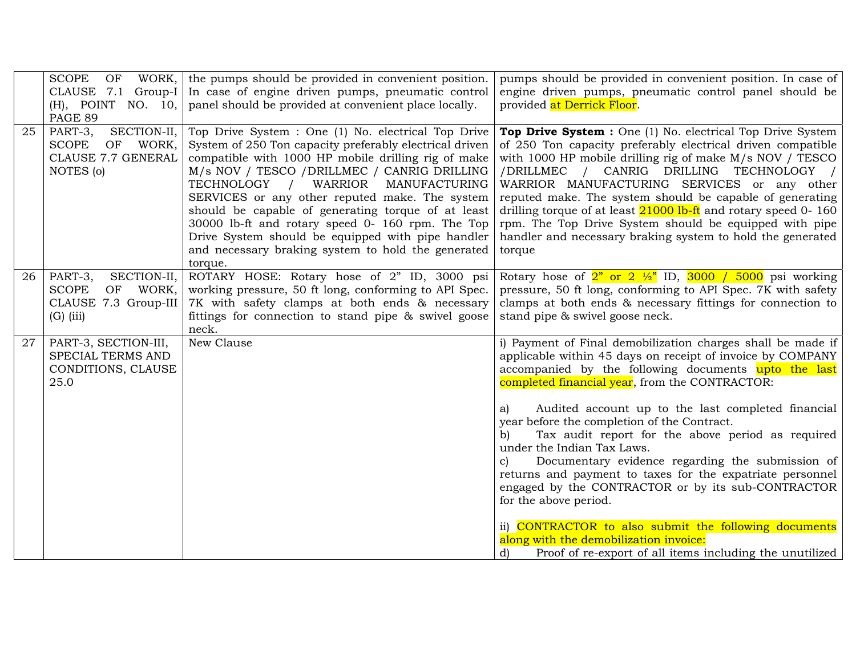|    | <b>SCOPE</b><br>OF<br>WORK,<br>CLAUSE 7.1 Group-I<br>(H), POINT NO. 10,<br>PAGE 89        | the pumps should be provided in convenient position.<br>In case of engine driven pumps, pneumatic control<br>panel should be provided at convenient place locally.                                                                                                                                                                                                                                                                                                                                                                               | pumps should be provided in convenient position. In case of<br>engine driven pumps, pneumatic control panel should be<br>provided at Derrick Floor.                                                                                                                                                                                                                                                                                                                                                                                                                                                                                                                                                                                                                                                                    |
|----|-------------------------------------------------------------------------------------------|--------------------------------------------------------------------------------------------------------------------------------------------------------------------------------------------------------------------------------------------------------------------------------------------------------------------------------------------------------------------------------------------------------------------------------------------------------------------------------------------------------------------------------------------------|------------------------------------------------------------------------------------------------------------------------------------------------------------------------------------------------------------------------------------------------------------------------------------------------------------------------------------------------------------------------------------------------------------------------------------------------------------------------------------------------------------------------------------------------------------------------------------------------------------------------------------------------------------------------------------------------------------------------------------------------------------------------------------------------------------------------|
| 25 | SECTION-II,<br>PART-3,<br><b>SCOPE</b><br>OF WORK,<br>CLAUSE 7.7 GENERAL<br>NOTES (o)     | Top Drive System : One (1) No. electrical Top Drive<br>System of 250 Ton capacity preferably electrical driven<br>compatible with 1000 HP mobile drilling rig of make<br>M/s NOV / TESCO / DRILLMEC / CANRIG DRILLING<br>TECHNOLOGY / WARRIOR<br>MANUFACTURING<br>SERVICES or any other reputed make. The system<br>should be capable of generating torque of at least<br>30000 lb-ft and rotary speed 0- 160 rpm. The Top<br>Drive System should be equipped with pipe handler<br>and necessary braking system to hold the generated<br>torque. | Top Drive System : One (1) No. electrical Top Drive System<br>of 250 Ton capacity preferably electrical driven compatible<br>with 1000 HP mobile drilling rig of make M/s NOV / TESCO<br>/DRILLMEC / CANRIG DRILLING TECHNOLOGY /<br>WARRIOR MANUFACTURING SERVICES or any other<br>reputed make. The system should be capable of generating<br>drilling torque of at least $21000$ lb-ft and rotary speed 0-160<br>rpm. The Top Drive System should be equipped with pipe<br>handler and necessary braking system to hold the generated<br>torque                                                                                                                                                                                                                                                                     |
| 26 | SECTION-II,<br>PART-3,<br><b>SCOPE</b><br>OF WORK,<br>CLAUSE 7.3 Group-III<br>$(G)$ (iii) | ROTARY HOSE: Rotary hose of 2" ID, 3000 psi<br>working pressure, 50 ft long, conforming to API Spec.<br>7K with safety clamps at both ends & necessary<br>fittings for connection to stand pipe & swivel goose<br>neck.                                                                                                                                                                                                                                                                                                                          | Rotary hose of $2^{\prime\prime}$ or $2\frac{\frac{1}{2}}{\sqrt{2}}$ ID, $3000 / 5000$ psi working<br>pressure, 50 ft long, conforming to API Spec. 7K with safety<br>clamps at both ends & necessary fittings for connection to<br>stand pipe & swivel goose neck.                                                                                                                                                                                                                                                                                                                                                                                                                                                                                                                                                    |
| 27 | PART-3, SECTION-III,<br>SPECIAL TERMS AND<br>CONDITIONS, CLAUSE<br>25.0                   | New Clause                                                                                                                                                                                                                                                                                                                                                                                                                                                                                                                                       | i) Payment of Final demobilization charges shall be made if<br>applicable within 45 days on receipt of invoice by COMPANY<br>accompanied by the following documents upto the last<br>completed financial year, from the CONTRACTOR:<br>Audited account up to the last completed financial<br>a)<br>year before the completion of the Contract.<br>Tax audit report for the above period as required<br>b)<br>under the Indian Tax Laws.<br>Documentary evidence regarding the submission of<br>$\mathbf{c}$<br>returns and payment to taxes for the expatriate personnel<br>engaged by the CONTRACTOR or by its sub-CONTRACTOR<br>for the above period.<br>ii) CONTRACTOR to also submit the following documents<br>along with the demobilization invoice:<br>Proof of re-export of all items including the unutilized |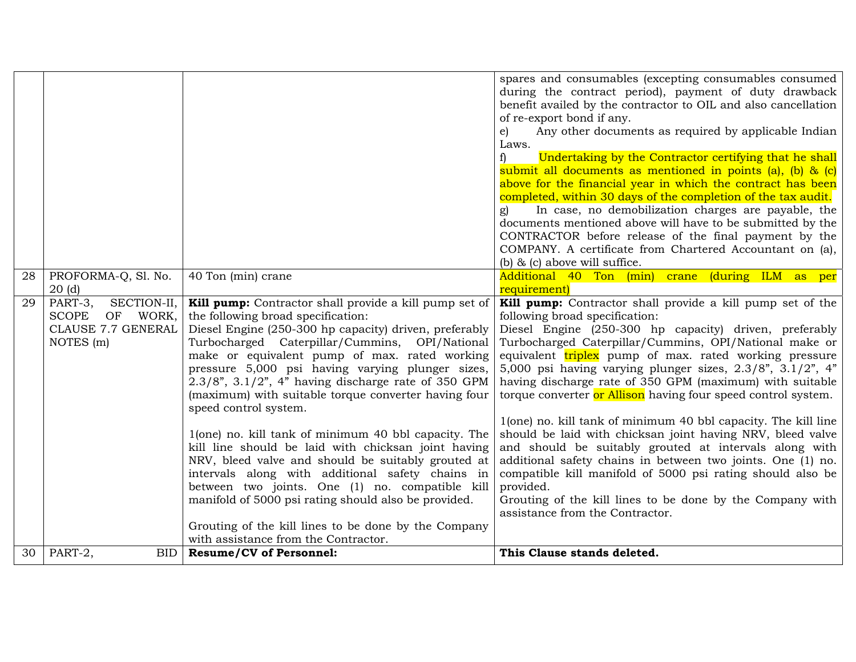|    |                                                                                              |                                                                                                                                                                                                                                                                                                                                                                                                                                                             | spares and consumables (excepting consumables consumed<br>during the contract period), payment of duty drawback<br>benefit availed by the contractor to OIL and also cancellation<br>of re-export bond if any.<br>Any other documents as required by applicable Indian                                                                                                                                                                                                         |
|----|----------------------------------------------------------------------------------------------|-------------------------------------------------------------------------------------------------------------------------------------------------------------------------------------------------------------------------------------------------------------------------------------------------------------------------------------------------------------------------------------------------------------------------------------------------------------|--------------------------------------------------------------------------------------------------------------------------------------------------------------------------------------------------------------------------------------------------------------------------------------------------------------------------------------------------------------------------------------------------------------------------------------------------------------------------------|
|    |                                                                                              |                                                                                                                                                                                                                                                                                                                                                                                                                                                             | e)<br>Laws.<br>Undertaking by the Contractor certifying that he shall<br>f)<br>submit all documents as mentioned in points (a), (b) & (c)<br>above for the financial year in which the contract has been                                                                                                                                                                                                                                                                       |
|    |                                                                                              |                                                                                                                                                                                                                                                                                                                                                                                                                                                             | completed, within 30 days of the completion of the tax audit.<br>In case, no demobilization charges are payable, the<br>documents mentioned above will have to be submitted by the<br>CONTRACTOR before release of the final payment by the<br>COMPANY. A certificate from Chartered Accountant on (a),<br>(b) $\&$ (c) above will suffice.                                                                                                                                    |
| 28 | PROFORMA-Q, Sl. No.<br>20(d)                                                                 | 40 Ton (min) crane                                                                                                                                                                                                                                                                                                                                                                                                                                          | Additional 40 Ton (min) crane<br>(during ILM as per<br>requirement)                                                                                                                                                                                                                                                                                                                                                                                                            |
| 29 | PART-3,<br>SECTION-II,<br><b>SCOPE</b><br>OF WORK,<br><b>CLAUSE 7.7 GENERAL</b><br>NOTES (m) | Kill pump: Contractor shall provide a kill pump set of<br>the following broad specification:<br>Diesel Engine (250-300 hp capacity) driven, preferably<br>Turbocharged Caterpillar/Cummins, OPI/National<br>make or equivalent pump of max. rated working<br>pressure 5,000 psi having varying plunger sizes,<br>$2.3/8$ ", $3.1/2$ ", 4" having discharge rate of 350 GPM<br>(maximum) with suitable torque converter having four<br>speed control system. | Kill pump: Contractor shall provide a kill pump set of the<br>following broad specification:<br>Diesel Engine (250-300 hp capacity) driven, preferably<br>Turbocharged Caterpillar/Cummins, OPI/National make or<br>equivalent triplex pump of max. rated working pressure<br>5,000 psi having varying plunger sizes, $2.3/8$ ", $3.1/2$ ", $4$ "<br>having discharge rate of 350 GPM (maximum) with suitable<br>torque converter or Allison having four speed control system. |
|    |                                                                                              | 1(one) no. kill tank of minimum 40 bbl capacity. The<br>kill line should be laid with chicksan joint having<br>NRV, bleed valve and should be suitably grouted at<br>intervals along with additional safety chains in<br>between two joints. One (1) no. compatible kill<br>manifold of 5000 psi rating should also be provided.                                                                                                                            | 1(one) no. kill tank of minimum 40 bbl capacity. The kill line<br>should be laid with chicksan joint having NRV, bleed valve<br>and should be suitably grouted at intervals along with<br>additional safety chains in between two joints. One (1) no.<br>compatible kill manifold of 5000 psi rating should also be<br>provided.<br>Grouting of the kill lines to be done by the Company with<br>assistance from the Contractor.                                               |
| 30 | PART-2,<br><b>BID</b>                                                                        | Grouting of the kill lines to be done by the Company<br>with assistance from the Contractor.<br><b>Resume/CV of Personnel:</b>                                                                                                                                                                                                                                                                                                                              | This Clause stands deleted.                                                                                                                                                                                                                                                                                                                                                                                                                                                    |
|    |                                                                                              |                                                                                                                                                                                                                                                                                                                                                                                                                                                             |                                                                                                                                                                                                                                                                                                                                                                                                                                                                                |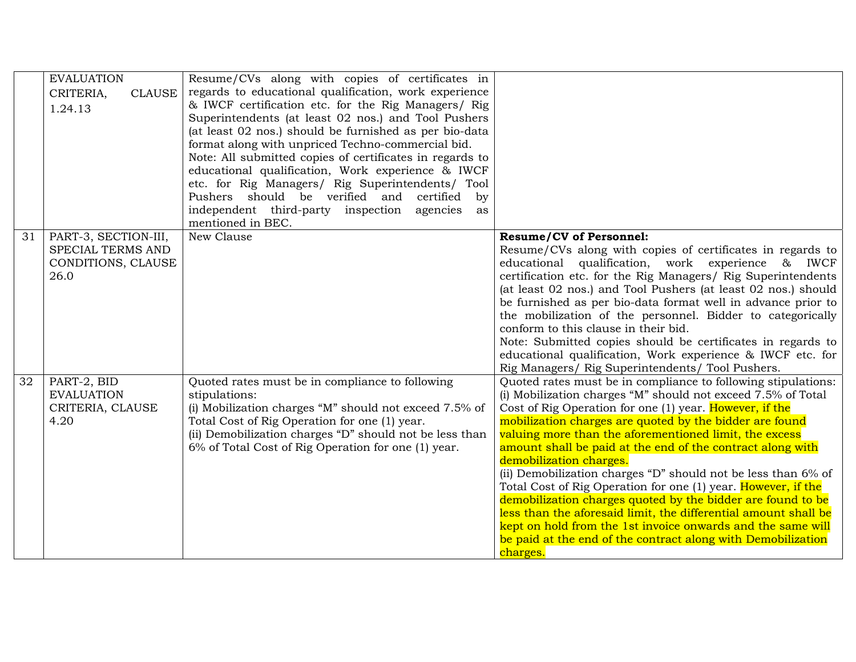|    | <b>EVALUATION</b>          | Resume/CVs along with copies of certificates in          |                                                                                                    |
|----|----------------------------|----------------------------------------------------------|----------------------------------------------------------------------------------------------------|
|    | CRITERIA,<br><b>CLAUSE</b> | regards to educational qualification, work experience    |                                                                                                    |
|    | 1.24.13                    | & IWCF certification etc. for the Rig Managers/ Rig      |                                                                                                    |
|    |                            | Superintendents (at least 02 nos.) and Tool Pushers      |                                                                                                    |
|    |                            | (at least 02 nos.) should be furnished as per bio-data   |                                                                                                    |
|    |                            | format along with unpriced Techno-commercial bid.        |                                                                                                    |
|    |                            | Note: All submitted copies of certificates in regards to |                                                                                                    |
|    |                            | educational qualification, Work experience & IWCF        |                                                                                                    |
|    |                            | etc. for Rig Managers/ Rig Superintendents/ Tool         |                                                                                                    |
|    |                            | Pushers should be verified and certified<br>by           |                                                                                                    |
|    |                            | independent third-party inspection agencies<br>as        |                                                                                                    |
|    |                            | mentioned in BEC.                                        |                                                                                                    |
| 31 | PART-3, SECTION-III,       | New Clause                                               | <b>Resume/CV of Personnel:</b>                                                                     |
|    | SPECIAL TERMS AND          |                                                          | Resume/CVs along with copies of certificates in regards to                                         |
|    | CONDITIONS, CLAUSE         |                                                          | educational qualification, work experience & IWCF                                                  |
|    | 26.0                       |                                                          | certification etc. for the Rig Managers/ Rig Superintendents                                       |
|    |                            |                                                          | (at least 02 nos.) and Tool Pushers (at least 02 nos.) should                                      |
|    |                            |                                                          | be furnished as per bio-data format well in advance prior to                                       |
|    |                            |                                                          | the mobilization of the personnel. Bidder to categorically<br>conform to this clause in their bid. |
|    |                            |                                                          | Note: Submitted copies should be certificates in regards to                                        |
|    |                            |                                                          | educational qualification, Work experience & IWCF etc. for                                         |
|    |                            |                                                          | Rig Managers/ Rig Superintendents/ Tool Pushers.                                                   |
| 32 | PART-2, BID                | Quoted rates must be in compliance to following          | Quoted rates must be in compliance to following stipulations:                                      |
|    | <b>EVALUATION</b>          | stipulations:                                            | (i) Mobilization charges "M" should not exceed 7.5% of Total                                       |
|    | CRITERIA, CLAUSE           | (i) Mobilization charges "M" should not exceed 7.5% of   | Cost of Rig Operation for one (1) year. However, if the                                            |
|    | 4.20                       | Total Cost of Rig Operation for one (1) year.            | mobilization charges are quoted by the bidder are found                                            |
|    |                            | (ii) Demobilization charges "D" should not be less than  | valuing more than the aforementioned limit, the excess                                             |
|    |                            | 6% of Total Cost of Rig Operation for one (1) year.      | amount shall be paid at the end of the contract along with                                         |
|    |                            |                                                          | demobilization charges.                                                                            |
|    |                            |                                                          | (ii) Demobilization charges "D" should not be less than 6% of                                      |
|    |                            |                                                          | Total Cost of Rig Operation for one (1) year. However, if the                                      |
|    |                            |                                                          | demobilization charges quoted by the bidder are found to be                                        |
|    |                            |                                                          | less than the aforesaid limit, the differential amount shall be                                    |
|    |                            |                                                          | kept on hold from the 1st invoice onwards and the same will                                        |
|    |                            |                                                          | be paid at the end of the contract along with Demobilization                                       |
|    |                            |                                                          | charges.                                                                                           |